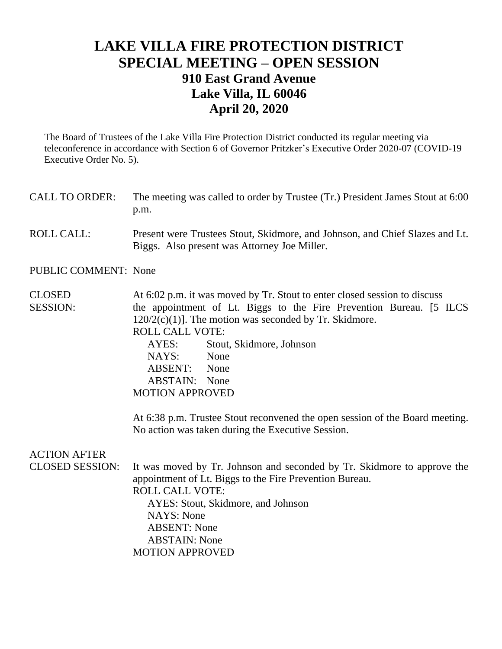## **LAKE VILLA FIRE PROTECTION DISTRICT SPECIAL MEETING – OPEN SESSION 910 East Grand Avenue Lake Villa, IL 60046 April 20, 2020**

The Board of Trustees of the Lake Villa Fire Protection District conducted its regular meeting via teleconference in accordance with Section 6 of Governor Pritzker's Executive Order 2020-07 (COVID-19 Executive Order No. 5).

CALL TO ORDER: The meeting was called to order by Trustee (Tr.) President James Stout at 6:00 p.m. ROLL CALL: Present were Trustees Stout, Skidmore, and Johnson, and Chief Slazes and Lt. Biggs. Also present was Attorney Joe Miller. PUBLIC COMMENT: None CLOSED At 6:02 p.m. it was moved by Tr. Stout to enter closed session to discuss SESSION: the appointment of Lt. Biggs to the Fire Prevention Bureau. [5 ILCS  $120/2(c)(1)$ ]. The motion was seconded by Tr. Skidmore. ROLL CALL VOTE: AYES: Stout, Skidmore, Johnson NAYS: None

ABSENT: None ABSTAIN: None MOTION APPROVED

At 6:38 p.m. Trustee Stout reconvened the open session of the Board meeting. No action was taken during the Executive Session.

## ACTION AFTER

CLOSED SESSION: It was moved by Tr. Johnson and seconded by Tr. Skidmore to approve the appointment of Lt. Biggs to the Fire Prevention Bureau. ROLL CALL VOTE: AYES: Stout, Skidmore, and Johnson NAYS: None ABSENT: None ABSTAIN: None MOTION APPROVED